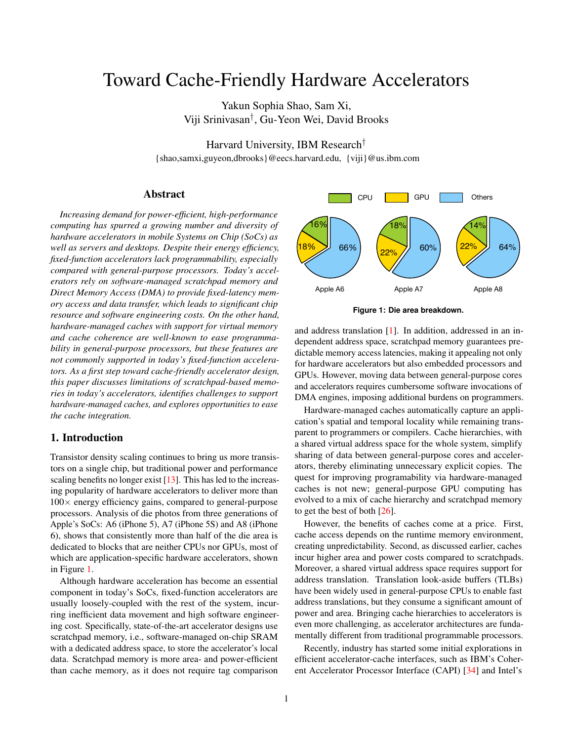# Toward Cache-Friendly Hardware Accelerators

Yakun Sophia Shao, Sam Xi, Viji Srinivasan† , Gu-Yeon Wei, David Brooks

Harvard University, IBM Research†

{shao,samxi,guyeon,dbrooks}@eecs.harvard.edu, {viji}@us.ibm.com

#### Abstract

*Increasing demand for power-efficient, high-performance computing has spurred a growing number and diversity of hardware accelerators in mobile Systems on Chip (SoCs) as well as servers and desktops. Despite their energy efficiency, fixed-function accelerators lack programmability, especially compared with general-purpose processors. Today's accelerators rely on software-managed scratchpad memory and Direct Memory Access (DMA) to provide fixed-latency memory access and data transfer, which leads to significant chip resource and software engineering costs. On the other hand, hardware-managed caches with support for virtual memory and cache coherence are well-known to ease programmability in general-purpose processors, but these features are not commonly supported in today's fixed-function accelerators. As a first step toward cache-friendly accelerator design, this paper discusses limitations of scratchpad-based memories in today's accelerators, identifies challenges to support hardware-managed caches, and explores opportunities to ease the cache integration.*

## 1. Introduction

Transistor density scaling continues to bring us more transistors on a single chip, but traditional power and performance scaling benefits no longer exist [\[13\]](#page-5-0). This has led to the increasing popularity of hardware accelerators to deliver more than  $100\times$  energy efficiency gains, compared to general-purpose processors. Analysis of die photos from three generations of Apple's SoCs: A6 (iPhone 5), A7 (iPhone 5S) and A8 (iPhone 6), shows that consistently more than half of the die area is dedicated to blocks that are neither CPUs nor GPUs, most of which are application-specific hardware accelerators, shown in Figure [1.](#page-0-0)

Although hardware acceleration has become an essential component in today's SoCs, fixed-function accelerators are usually loosely-coupled with the rest of the system, incurring inefficient data movement and high software engineering cost. Specifically, state-of-the-art accelerator designs use scratchpad memory, i.e., software-managed on-chip SRAM with a dedicated address space, to store the accelerator's local data. Scratchpad memory is more area- and power-efficient than cache memory, as it does not require tag comparison



<span id="page-0-0"></span>**Figure 1: Die area breakdown.**

and address translation [\[1\]](#page-5-1). In addition, addressed in an independent address space, scratchpad memory guarantees predictable memory access latencies, making it appealing not only for hardware accelerators but also embedded processors and GPUs. However, moving data between general-purpose cores and accelerators requires cumbersome software invocations of DMA engines, imposing additional burdens on programmers.

Hardware-managed caches automatically capture an application's spatial and temporal locality while remaining transparent to programmers or compilers. Cache hierarchies, with a shared virtual address space for the whole system, simplify sharing of data between general-purpose cores and accelerators, thereby eliminating unnecessary explicit copies. The quest for improving programability via hardware-managed caches is not new; general-purpose GPU computing has evolved to a mix of cache hierarchy and scratchpad memory to get the best of both [\[26\]](#page-5-2).

However, the benefits of caches come at a price. First, cache access depends on the runtime memory environment, creating unpredictability. Second, as discussed earlier, caches incur higher area and power costs compared to scratchpads. Moreover, a shared virtual address space requires support for address translation. Translation look-aside buffers (TLBs) have been widely used in general-purpose CPUs to enable fast address translations, but they consume a significant amount of power and area. Bringing cache hierarchies to accelerators is even more challenging, as accelerator architectures are fundamentally different from traditional programmable processors.

Recently, industry has started some initial explorations in efficient accelerator-cache interfaces, such as IBM's Coherent Accelerator Processor Interface (CAPI) [\[34\]](#page-5-3) and Intel's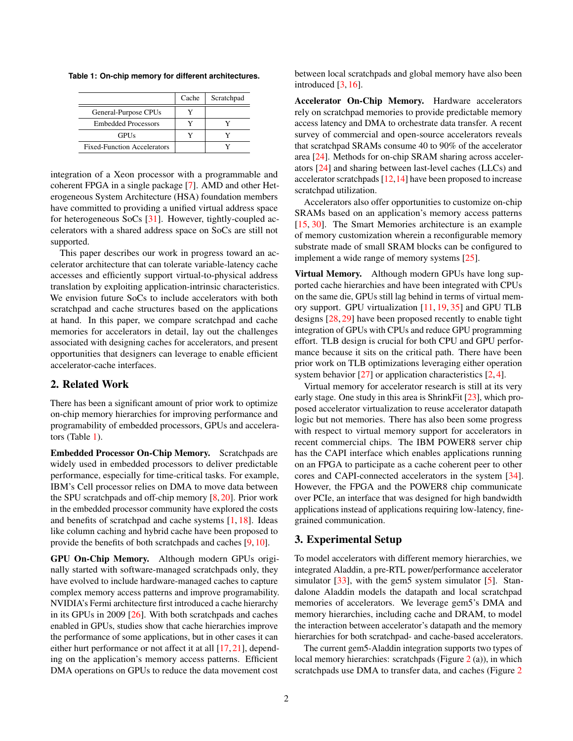<span id="page-1-0"></span>**Table 1: On-chip memory for different architectures.**

|                                    | Cache | Scratchpad |
|------------------------------------|-------|------------|
| General-Purpose CPUs               |       |            |
| <b>Embedded Processors</b>         |       |            |
| <b>GPUs</b>                        |       |            |
| <b>Fixed-Function Accelerators</b> |       |            |

integration of a Xeon processor with a programmable and coherent FPGA in a single package [\[7\]](#page-5-4). AMD and other Heterogeneous System Architecture (HSA) foundation members have committed to providing a unified virtual address space for heterogeneous SoCs [\[31\]](#page-5-5). However, tightly-coupled accelerators with a shared address space on SoCs are still not supported.

This paper describes our work in progress toward an accelerator architecture that can tolerate variable-latency cache accesses and efficiently support virtual-to-physical address translation by exploiting application-intrinsic characteristics. We envision future SoCs to include accelerators with both scratchpad and cache structures based on the applications at hand. In this paper, we compare scratchpad and cache memories for accelerators in detail, lay out the challenges associated with designing caches for accelerators, and present opportunities that designers can leverage to enable efficient accelerator-cache interfaces.

### 2. Related Work

There has been a significant amount of prior work to optimize on-chip memory hierarchies for improving performance and programability of embedded processors, GPUs and accelerators (Table [1\)](#page-1-0).

Embedded Processor On-Chip Memory. Scratchpads are widely used in embedded processors to deliver predictable performance, especially for time-critical tasks. For example, IBM's Cell processor relies on DMA to move data between the SPU scratchpads and off-chip memory [\[8,](#page-5-6) [20\]](#page-5-7). Prior work in the embedded processor community have explored the costs and benefits of scratchpad and cache systems [\[1,](#page-5-1) [18\]](#page-5-8). Ideas like column caching and hybrid cache have been proposed to provide the benefits of both scratchpads and caches [\[9,](#page-5-9) [10\]](#page-5-10).

GPU On-Chip Memory. Although modern GPUs originally started with software-managed scratchpads only, they have evolved to include hardware-managed caches to capture complex memory access patterns and improve programability. NVIDIA's Fermi architecture first introduced a cache hierarchy in its GPUs in 2009 [\[26\]](#page-5-2). With both scratchpads and caches enabled in GPUs, studies show that cache hierarchies improve the performance of some applications, but in other cases it can either hurt performance or not affect it at all [\[17,](#page-5-11) [21\]](#page-5-12), depending on the application's memory access patterns. Efficient DMA operations on GPUs to reduce the data movement cost

between local scratchpads and global memory have also been introduced [\[3,](#page-5-13) [16\]](#page-5-14).

Accelerator On-Chip Memory. Hardware accelerators rely on scratchpad memories to provide predictable memory access latency and DMA to orchestrate data transfer. A recent survey of commercial and open-source accelerators reveals that scratchpad SRAMs consume 40 to 90% of the accelerator area [\[24\]](#page-5-15). Methods for on-chip SRAM sharing across accelerators [\[24\]](#page-5-15) and sharing between last-level caches (LLCs) and accelerator scratchpads [\[12](#page-5-16)[,14\]](#page-5-17) have been proposed to increase scratchpad utilization.

Accelerators also offer opportunities to customize on-chip SRAMs based on an application's memory access patterns [\[15,](#page-5-18) [30\]](#page-5-19). The Smart Memories architecture is an example of memory customization wherein a reconfigurable memory substrate made of small SRAM blocks can be configured to implement a wide range of memory systems [\[25\]](#page-5-20).

Virtual Memory. Although modern GPUs have long supported cache hierarchies and have been integrated with CPUs on the same die, GPUs still lag behind in terms of virtual memory support. GPU virtualization [\[11,](#page-5-21) [19,](#page-5-22) [35\]](#page-5-23) and GPU TLB designs [\[28,](#page-5-24) [29\]](#page-5-25) have been proposed recently to enable tight integration of GPUs with CPUs and reduce GPU programming effort. TLB design is crucial for both CPU and GPU performance because it sits on the critical path. There have been prior work on TLB optimizations leveraging either operation system behavior [\[27\]](#page-5-26) or application characteristics [\[2,](#page-5-27) [4\]](#page-5-28).

Virtual memory for accelerator research is still at its very early stage. One study in this area is ShrinkFit [\[23\]](#page-5-29), which proposed accelerator virtualization to reuse accelerator datapath logic but not memories. There has also been some progress with respect to virtual memory support for accelerators in recent commercial chips. The IBM POWER8 server chip has the CAPI interface which enables applications running on an FPGA to participate as a cache coherent peer to other cores and CAPI-connected accelerators in the system [\[34\]](#page-5-3). However, the FPGA and the POWER8 chip communicate over PCIe, an interface that was designed for high bandwidth applications instead of applications requiring low-latency, finegrained communication.

## 3. Experimental Setup

To model accelerators with different memory hierarchies, we integrated Aladdin, a pre-RTL power/performance accelerator simulator [\[33\]](#page-5-30), with the gem5 system simulator [\[5\]](#page-5-31). Standalone Aladdin models the datapath and local scratchpad memories of accelerators. We leverage gem5's DMA and memory hierarchies, including cache and DRAM, to model the interaction between accelerator's datapath and the memory hierarchies for both scratchpad- and cache-based accelerators.

The current gem5-Aladdin integration supports two types of local memory hierarchies: scratchpads (Figure [2](#page-2-0) (a)), in which scratchpads use DMA to transfer data, and caches (Figure [2](#page-2-0))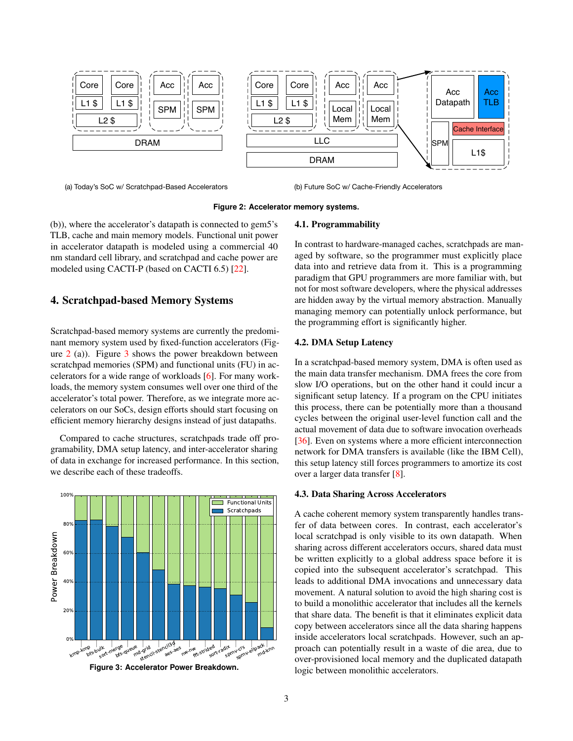

(a) Today's SoC w/ Scratchpad-Based Accelerators (b) Future SoC w/ Cache-Friendly Accelerators

<span id="page-2-0"></span>**Figure 2: Accelerator memory systems.**

(b)), where the accelerator's datapath is connected to gem5's TLB, cache and main memory models. Functional unit power in accelerator datapath is modeled using a commercial 40 nm standard cell library, and scratchpad and cache power are modeled using CACTI-P (based on CACTI 6.5) [\[22\]](#page-5-32).

## 4. Scratchpad-based Memory Systems

Scratchpad-based memory systems are currently the predominant memory system used by fixed-function accelerators (Figure  $2$  (a)). Figure  $3$  shows the power breakdown between scratchpad memories (SPM) and functional units (FU) in accelerators for a wide range of workloads [\[6\]](#page-5-33). For many workloads, the memory system consumes well over one third of the accelerator's total power. Therefore, as we integrate more accelerators on our SoCs, design efforts should start focusing on efficient memory hierarchy designs instead of just datapaths.

Compared to cache structures, scratchpads trade off programability, DMA setup latency, and inter-accelerator sharing of data in exchange for increased performance. In this section, we describe each of these tradeoffs.



<span id="page-2-1"></span>**Figure 3: Accelerator Power Breakdown.**

#### 4.1. Programmability

In contrast to hardware-managed caches, scratchpads are managed by software, so the programmer must explicitly place data into and retrieve data from it. This is a programming paradigm that GPU programmers are more familiar with, but not for most software developers, where the physical addresses are hidden away by the virtual memory abstraction. Manually managing memory can potentially unlock performance, but the programming effort is significantly higher.

#### 4.2. DMA Setup Latency

In a scratchpad-based memory system, DMA is often used as the main data transfer mechanism. DMA frees the core from slow I/O operations, but on the other hand it could incur a significant setup latency. If a program on the CPU initiates this process, there can be potentially more than a thousand cycles between the original user-level function call and the actual movement of data due to software invocation overheads [\[36\]](#page-5-34). Even on systems where a more efficient interconnection network for DMA transfers is available (like the IBM Cell), this setup latency still forces programmers to amortize its cost over a larger data transfer [\[8\]](#page-5-6).

#### 4.3. Data Sharing Across Accelerators

A cache coherent memory system transparently handles transfer of data between cores. In contrast, each accelerator's local scratchpad is only visible to its own datapath. When sharing across different accelerators occurs, shared data must be written explicitly to a global address space before it is copied into the subsequent accelerator's scratchpad. This leads to additional DMA invocations and unnecessary data movement. A natural solution to avoid the high sharing cost is to build a monolithic accelerator that includes all the kernels that share data. The benefit is that it eliminates explicit data copy between accelerators since all the data sharing happens inside accelerators local scratchpads. However, such an approach can potentially result in a waste of die area, due to over-provisioned local memory and the duplicated datapath logic between monolithic accelerators.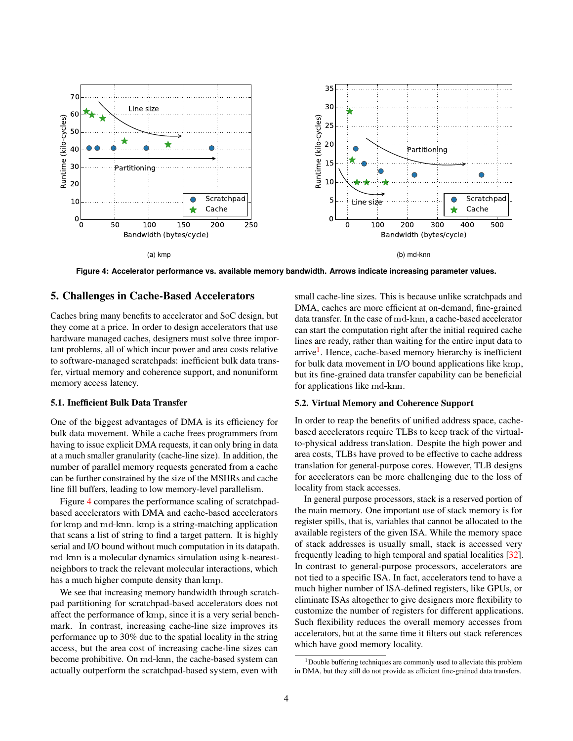

<span id="page-3-0"></span>**Figure 4: Accelerator performance vs. available memory bandwidth. Arrows indicate increasing parameter values.**

#### 5. Challenges in Cache-Based Accelerators

Caches bring many benefits to accelerator and SoC design, but they come at a price. In order to design accelerators that use hardware managed caches, designers must solve three important problems, all of which incur power and area costs relative to software-managed scratchpads: inefficient bulk data transfer, virtual memory and coherence support, and nonuniform memory access latency.

#### 5.1. Inefficient Bulk Data Transfer

One of the biggest advantages of DMA is its efficiency for bulk data movement. While a cache frees programmers from having to issue explicit DMA requests, it can only bring in data at a much smaller granularity (cache-line size). In addition, the number of parallel memory requests generated from a cache can be further constrained by the size of the MSHRs and cache line fill buffers, leading to low memory-level parallelism.

Figure [4](#page-3-0) compares the performance scaling of scratchpadbased accelerators with DMA and cache-based accelerators for kmp and md-knn. kmp is a string-matching application that scans a list of string to find a target pattern. It is highly serial and I/O bound without much computation in its datapath. md-knn is a molecular dynamics simulation using k-nearestneighbors to track the relevant molecular interactions, which has a much higher compute density than kmp.

We see that increasing memory bandwidth through scratchpad partitioning for scratchpad-based accelerators does not affect the performance of kmp, since it is a very serial benchmark. In contrast, increasing cache-line size improves its performance up to 30% due to the spatial locality in the string access, but the area cost of increasing cache-line sizes can become prohibitive. On md-knn, the cache-based system can actually outperform the scratchpad-based system, even with

small cache-line sizes. This is because unlike scratchpads and DMA, caches are more efficient at on-demand, fine-grained data transfer. In the case of md-knn, a cache-based accelerator can start the computation right after the initial required cache lines are ready, rather than waiting for the entire input data to arrive<sup>[1](#page-3-1)</sup>. Hence, cache-based memory hierarchy is inefficient for bulk data movement in I/O bound applications like kmp, but its fine-grained data transfer capability can be beneficial for applications like md-knn.

#### 5.2. Virtual Memory and Coherence Support

In order to reap the benefits of unified address space, cachebased accelerators require TLBs to keep track of the virtualto-physical address translation. Despite the high power and area costs, TLBs have proved to be effective to cache address translation for general-purpose cores. However, TLB designs for accelerators can be more challenging due to the loss of locality from stack accesses.

In general purpose processors, stack is a reserved portion of the main memory. One important use of stack memory is for register spills, that is, variables that cannot be allocated to the available registers of the given ISA. While the memory space of stack addresses is usually small, stack is accessed very frequently leading to high temporal and spatial localities [\[32\]](#page-5-35). In contrast to general-purpose processors, accelerators are not tied to a specific ISA. In fact, accelerators tend to have a much higher number of ISA-defined registers, like GPUs, or eliminate ISAs altogether to give designers more flexibility to customize the number of registers for different applications. Such flexibility reduces the overall memory accesses from accelerators, but at the same time it filters out stack references which have good memory locality.

<span id="page-3-1"></span> $1$ Double buffering techniques are commonly used to alleviate this problem in DMA, but they still do not provide as efficient fine-grained data transfers.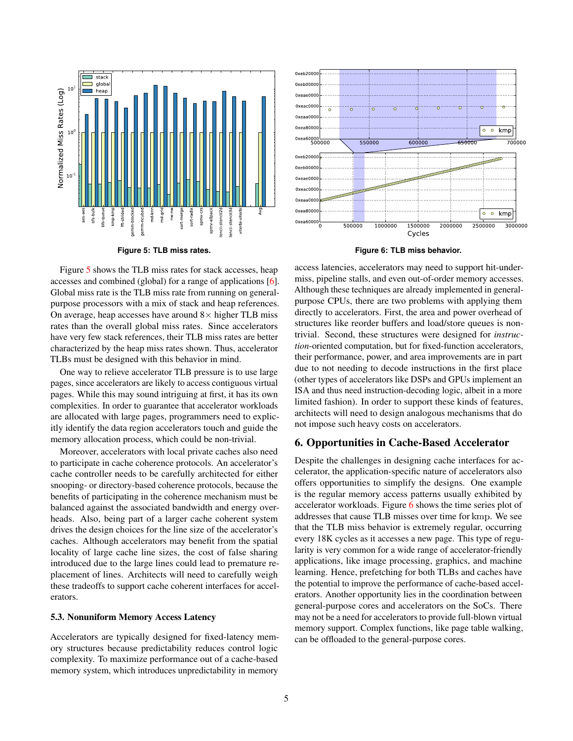

<span id="page-4-0"></span>**Figure 5: TLB miss rates.**

Figure [5](#page-4-0) shows the TLB miss rates for stack accesses, heap accesses and combined (global) for a range of applications [\[6\]](#page-5-33). Global miss rate is the TLB miss rate from running on generalpurpose processors with a mix of stack and heap references. On average, heap accesses have around  $8\times$  higher TLB miss rates than the overall global miss rates. Since accelerators have very few stack references, their TLB miss rates are better characterized by the heap miss rates shown. Thus, accelerator TLBs must be designed with this behavior in mind.

One way to relieve accelerator TLB pressure is to use large pages, since accelerators are likely to access contiguous virtual pages. While this may sound intriguing at first, it has its own complexities. In order to guarantee that accelerator workloads are allocated with large pages, programmers need to explicitly identify the data region accelerators touch and guide the memory allocation process, which could be non-trivial.

Moreover, accelerators with local private caches also need to participate in cache coherence protocols. An accelerator's cache controller needs to be carefully architected for either snooping- or directory-based coherence protocols, because the benefits of participating in the coherence mechanism must be balanced against the associated bandwidth and energy overheads. Also, being part of a larger cache coherent system drives the design choices for the line size of the accelerator's caches. Although accelerators may benefit from the spatial locality of large cache line sizes, the cost of false sharing introduced due to the large lines could lead to premature replacement of lines. Architects will need to carefully weigh these tradeoffs to support cache coherent interfaces for accelerators.

#### 5.3. Nonuniform Memory Access Latency

Accelerators are typically designed for fixed-latency memory structures because predictability reduces control logic complexity. To maximize performance out of a cache-based memory system, which introduces unpredictability in memory



<span id="page-4-1"></span>**Figure 6: TLB miss behavior.**

access latencies, accelerators may need to support hit-undermiss, pipeline stalls, and even out-of-order memory accesses. Although these techniques are already implemented in generalpurpose CPUs, there are two problems with applying them directly to accelerators. First, the area and power overhead of structures like reorder buffers and load/store queues is nontrivial. Second, these structures were designed for *instruction*-oriented computation, but for fixed-function accelerators, their performance, power, and area improvements are in part due to not needing to decode instructions in the first place (other types of accelerators like DSPs and GPUs implement an ISA and thus need instruction-decoding logic, albeit in a more limited fashion). In order to support these kinds of features, architects will need to design analogous mechanisms that do not impose such heavy costs on accelerators.

## 6. Opportunities in Cache-Based Accelerator

Despite the challenges in designing cache interfaces for accelerator, the application-specific nature of accelerators also offers opportunities to simplify the designs. One example is the regular memory access patterns usually exhibited by accelerator workloads. Figure  $6$  shows the time series plot of addresses that cause TLB misses over time for kmp. We see that the TLB miss behavior is extremely regular, occurring every 18K cycles as it accesses a new page. This type of regularity is very common for a wide range of accelerator-friendly applications, like image processing, graphics, and machine learning. Hence, prefetching for both TLBs and caches have the potential to improve the performance of cache-based accelerators. Another opportunity lies in the coordination between general-purpose cores and accelerators on the SoCs. There may not be a need for accelerators to provide full-blown virtual memory support. Complex functions, like page table walking, can be offloaded to the general-purpose cores.